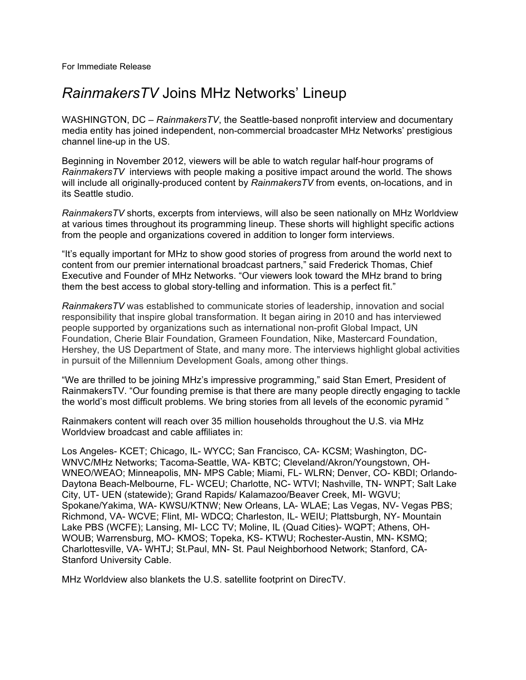## *RainmakersTV* Joins MHz Networks' Lineup

WASHINGTON, DC – *RainmakersTV*, the Seattle-based nonprofit interview and documentary media entity has joined independent, non-commercial broadcaster MHz Networks' prestigious channel line-up in the US.

Beginning in November 2012, viewers will be able to watch regular half-hour programs of *RainmakersTV* interviews with people making a positive impact around the world. The shows will include all originally-produced content by *RainmakersTV* from events, on-locations, and in its Seattle studio.

*RainmakersTV* shorts, excerpts from interviews, will also be seen nationally on MHz Worldview at various times throughout its programming lineup. These shorts will highlight specific actions from the people and organizations covered in addition to longer form interviews.

"It's equally important for MHz to show good stories of progress from around the world next to content from our premier international broadcast partners," said Frederick Thomas, Chief Executive and Founder of MHz Networks. "Our viewers look toward the MHz brand to bring them the best access to global story-telling and information. This is a perfect fit."

*RainmakersTV* was established to communicate stories of leadership, innovation and social responsibility that inspire global transformation. It began airing in 2010 and has interviewed people supported by organizations such as international non-profit Global Impact, UN Foundation, Cherie Blair Foundation, Grameen Foundation, Nike, Mastercard Foundation, Hershey, the US Department of State, and many more. The interviews highlight global activities in pursuit of the Millennium Development Goals, among other things.

"We are thrilled to be joining MHz's impressive programming," said Stan Emert, President of RainmakersTV. "Our founding premise is that there are many people directly engaging to tackle the world's most difficult problems. We bring stories from all levels of the economic pyramid "

Rainmakers content will reach over 35 million households throughout the U.S. via MHz Worldview broadcast and cable affiliates in:

Los Angeles- KCET; Chicago, IL- WYCC; San Francisco, CA- KCSM; Washington, DC-WNVC/MHz Networks; Tacoma-Seattle, WA- KBTC; Cleveland/Akron/Youngstown, OH-WNEO/WEAO; Minneapolis, MN- MPS Cable; Miami, FL- WLRN; Denver, CO- KBDI; Orlando-Daytona Beach-Melbourne, FL- WCEU; Charlotte, NC- WTVI; Nashville, TN- WNPT; Salt Lake City, UT- UEN (statewide); Grand Rapids/ Kalamazoo/Beaver Creek, MI- WGVU; Spokane/Yakima, WA- KWSU/KTNW; New Orleans, LA- WLAE; Las Vegas, NV- Vegas PBS; Richmond, VA- WCVE; Flint, MI- WDCQ; Charleston, IL- WEIU; Plattsburgh, NY- Mountain Lake PBS (WCFE); Lansing, MI- LCC TV; Moline, IL (Quad Cities)- WQPT; Athens, OH-WOUB; Warrensburg, MO- KMOS; Topeka, KS- KTWU; Rochester-Austin, MN- KSMQ; Charlottesville, VA- WHTJ; St.Paul, MN- St. Paul Neighborhood Network; Stanford, CA-Stanford University Cable.

MHz Worldview also blankets the U.S. satellite footprint on DirecTV.